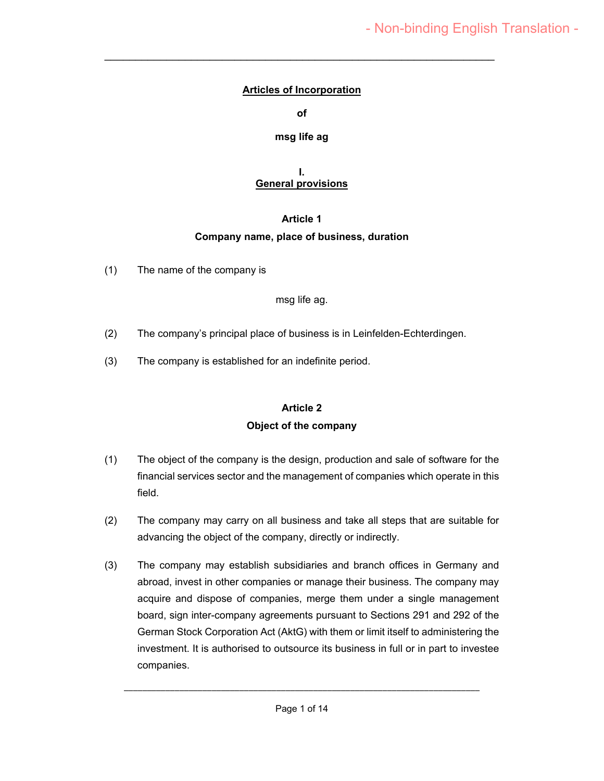### **Articles of Incorporation**

 $\mathcal{L}_\text{max}$  , and the contract of the contract of the contract of the contract of the contract of the contract of the contract of the contract of the contract of the contract of the contract of the contract of the contr

**of** 

#### **msg life ag**

#### **I. General provisions**

#### **Article 1**

### **Company name, place of business, duration**

(1) The name of the company is

#### msg life ag.

- (2) The company's principal place of business is in Leinfelden-Echterdingen.
- (3) The company is established for an indefinite period.

# **Article 2 Object of the company**

- (1) The object of the company is the design, production and sale of software for the financial services sector and the management of companies which operate in this field.
- (2) The company may carry on all business and take all steps that are suitable for advancing the object of the company, directly or indirectly.
- (3) The company may establish subsidiaries and branch offices in Germany and abroad, invest in other companies or manage their business. The company may acquire and dispose of companies, merge them under a single management board, sign inter-company agreements pursuant to Sections 291 and 292 of the German Stock Corporation Act (AktG) with them or limit itself to administering the investment. It is authorised to outsource its business in full or in part to investee companies.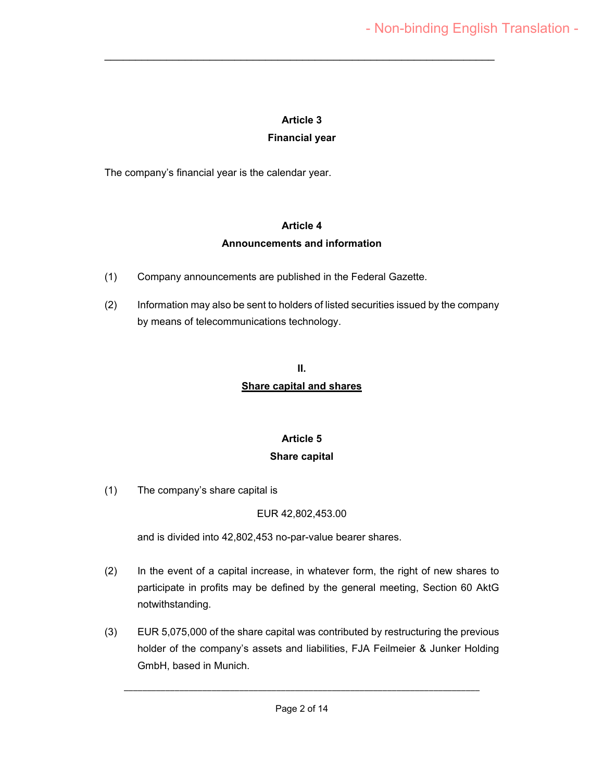### **Article 3**

 $\mathcal{L}_\text{max}$  , and the contract of the contract of the contract of the contract of the contract of the contract of the contract of the contract of the contract of the contract of the contract of the contract of the contr

### **Financial year**

The company's financial year is the calendar year.

#### **Article 4**

### **Announcements and information**

- (1) Company announcements are published in the Federal Gazette.
- (2) Information may also be sent to holders of listed securities issued by the company by means of telecommunications technology.

## **II. Share capital and shares**

### **Article 5**

#### **Share capital**

(1) The company's share capital is

### EUR 42,802,453.00

and is divided into 42,802,453 no-par-value bearer shares.

- (2) In the event of a capital increase, in whatever form, the right of new shares to participate in profits may be defined by the general meeting, Section 60 AktG notwithstanding.
- (3) EUR 5,075,000 of the share capital was contributed by restructuring the previous holder of the company's assets and liabilities, FJA Feilmeier & Junker Holding GmbH, based in Munich.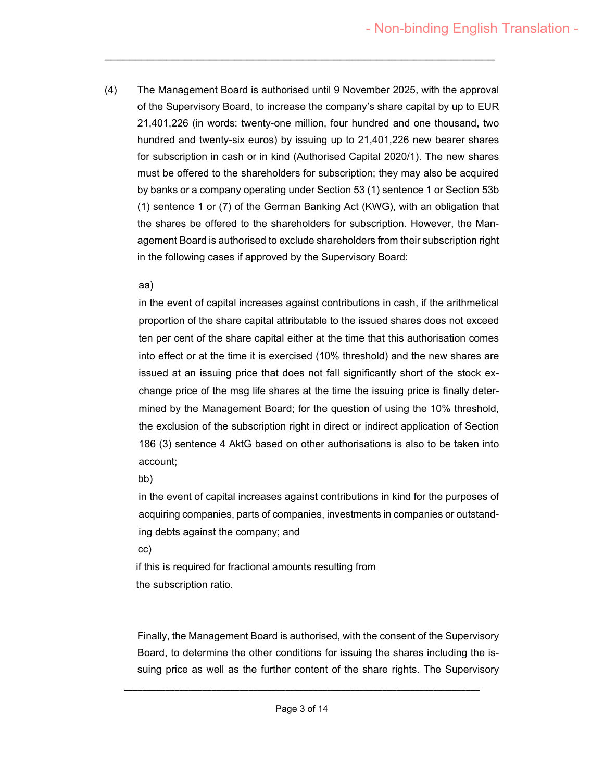(4) The Management Board is authorised until 9 November 2025, with the approval of the Supervisory Board, to increase the company's share capital by up to EUR 21,401,226 (in words: twenty-one million, four hundred and one thousand, two hundred and twenty-six euros) by issuing up to 21,401,226 new bearer shares for subscription in cash or in kind (Authorised Capital 2020/1). The new shares must be offered to the shareholders for subscription; they may also be acquired by banks or a company operating under Section 53 (1) sentence 1 or Section 53b (1) sentence 1 or (7) of the German Banking Act (KWG), with an obligation that the shares be offered to the shareholders for subscription. However, the Management Board is authorised to exclude shareholders from their subscription right in the following cases if approved by the Supervisory Board:

 $\mathcal{L}_\text{max}$  , and the contract of the contract of the contract of the contract of the contract of the contract of the contract of the contract of the contract of the contract of the contract of the contract of the contr

#### aa)

in the event of capital increases against contributions in cash, if the arithmetical proportion of the share capital attributable to the issued shares does not exceed ten per cent of the share capital either at the time that this authorisation comes into effect or at the time it is exercised (10% threshold) and the new shares are issued at an issuing price that does not fall significantly short of the stock exchange price of the msg life shares at the time the issuing price is finally determined by the Management Board; for the question of using the 10% threshold, the exclusion of the subscription right in direct or indirect application of Section 186 (3) sentence 4 AktG based on other authorisations is also to be taken into account;

#### bb)

in the event of capital increases against contributions in kind for the purposes of acquiring companies, parts of companies, investments in companies or outstanding debts against the company; and

cc)

if this is required for fractional amounts resulting from the subscription ratio.

Finally, the Management Board is authorised, with the consent of the Supervisory Board, to determine the other conditions for issuing the shares including the issuing price as well as the further content of the share rights. The Supervisory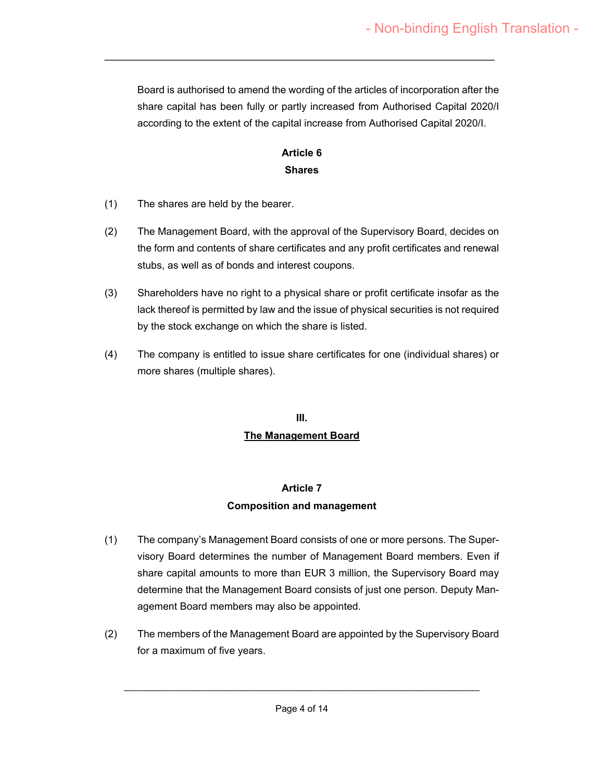Board is authorised to amend the wording of the articles of incorporation after the share capital has been fully or partly increased from Authorised Capital 2020/I according to the extent of the capital increase from Authorised Capital 2020/I.

# **Article 6 Shares**

 $\mathcal{L}_\text{max}$  , and the contract of the contract of the contract of the contract of the contract of the contract of the contract of the contract of the contract of the contract of the contract of the contract of the contr

- (1) The shares are held by the bearer.
- (2) The Management Board, with the approval of the Supervisory Board, decides on the form and contents of share certificates and any profit certificates and renewal stubs, as well as of bonds and interest coupons.
- (3) Shareholders have no right to a physical share or profit certificate insofar as the lack thereof is permitted by law and the issue of physical securities is not required by the stock exchange on which the share is listed.
- (4) The company is entitled to issue share certificates for one (individual shares) or more shares (multiple shares).

# **III. The Management Board**

### **Article 7**

### **Composition and management**

- (1) The company's Management Board consists of one or more persons. The Supervisory Board determines the number of Management Board members. Even if share capital amounts to more than EUR 3 million, the Supervisory Board may determine that the Management Board consists of just one person. Deputy Management Board members may also be appointed.
- (2) The members of the Management Board are appointed by the Supervisory Board for a maximum of five years.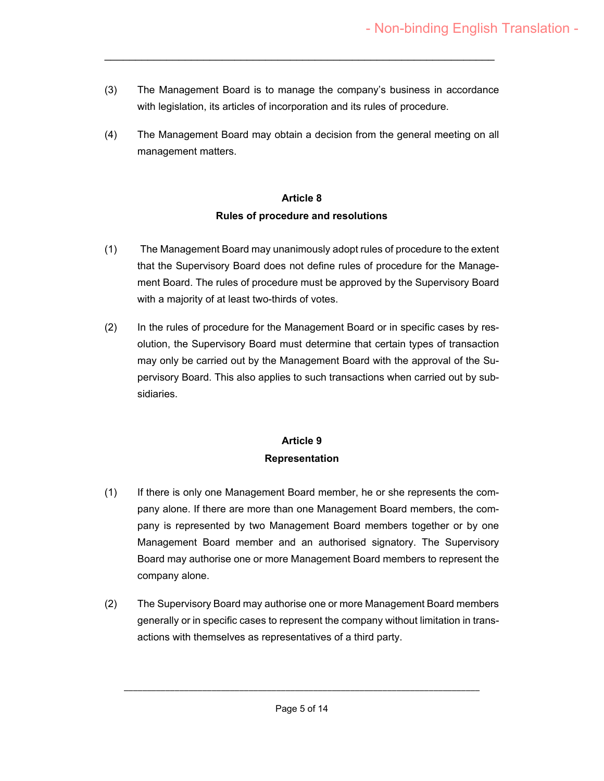(3) The Management Board is to manage the company's business in accordance with legislation, its articles of incorporation and its rules of procedure.

 $\mathcal{L}_\text{max}$  , and the contract of the contract of the contract of the contract of the contract of the contract of the contract of the contract of the contract of the contract of the contract of the contract of the contr

(4) The Management Board may obtain a decision from the general meeting on all management matters.

# **Article 8 Rules of procedure and resolutions**

- (1) The Management Board may unanimously adopt rules of procedure to the extent that the Supervisory Board does not define rules of procedure for the Management Board. The rules of procedure must be approved by the Supervisory Board with a majority of at least two-thirds of votes.
- (2) In the rules of procedure for the Management Board or in specific cases by resolution, the Supervisory Board must determine that certain types of transaction may only be carried out by the Management Board with the approval of the Supervisory Board. This also applies to such transactions when carried out by subsidiaries.

# **Article 9 Representation**

- (1) If there is only one Management Board member, he or she represents the company alone. If there are more than one Management Board members, the company is represented by two Management Board members together or by one Management Board member and an authorised signatory. The Supervisory Board may authorise one or more Management Board members to represent the company alone.
- (2) The Supervisory Board may authorise one or more Management Board members generally or in specific cases to represent the company without limitation in transactions with themselves as representatives of a third party.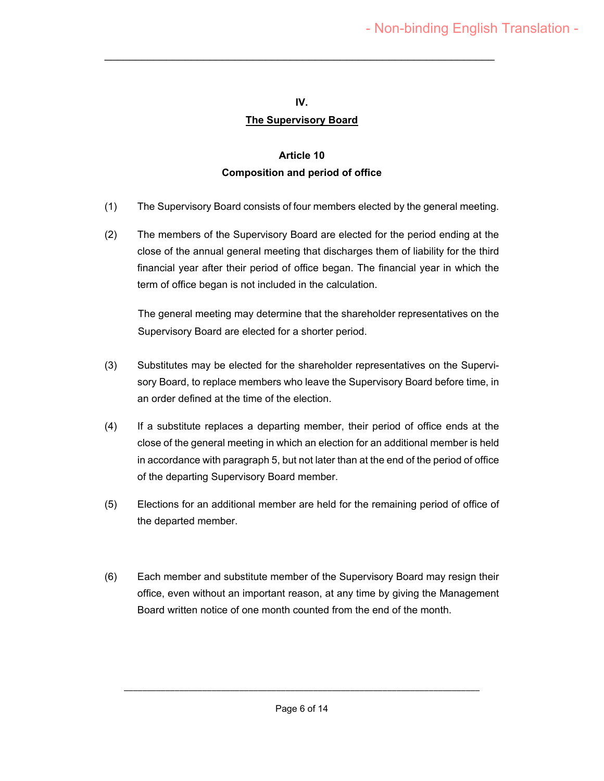#### **IV.**

 $\mathcal{L}_\text{max}$  , and the contract of the contract of the contract of the contract of the contract of the contract of the contract of the contract of the contract of the contract of the contract of the contract of the contr

### **The Supervisory Board**

# **Article 10 Composition and period of office**

- (1) The Supervisory Board consists of four members elected by the general meeting.
- (2) The members of the Supervisory Board are elected for the period ending at the close of the annual general meeting that discharges them of liability for the third financial year after their period of office began. The financial year in which the term of office began is not included in the calculation.

The general meeting may determine that the shareholder representatives on the Supervisory Board are elected for a shorter period.

- (3) Substitutes may be elected for the shareholder representatives on the Supervisory Board, to replace members who leave the Supervisory Board before time, in an order defined at the time of the election.
- (4) If a substitute replaces a departing member, their period of office ends at the close of the general meeting in which an election for an additional member is held in accordance with paragraph 5, but not later than at the end of the period of office of the departing Supervisory Board member.
- (5) Elections for an additional member are held for the remaining period of office of the departed member.
- (6) Each member and substitute member of the Supervisory Board may resign their office, even without an important reason, at any time by giving the Management Board written notice of one month counted from the end of the month.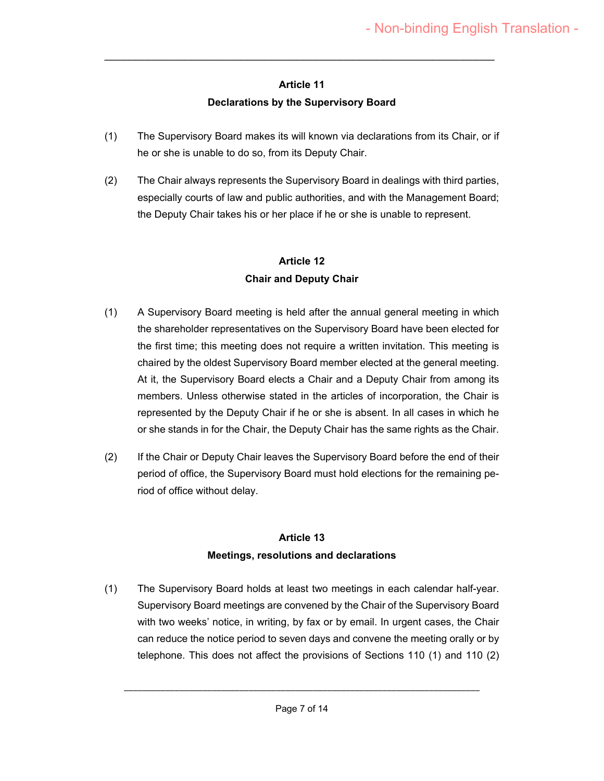## **Article 11 Declarations by the Supervisory Board**

 $\mathcal{L}_\text{max}$  , and the contract of the contract of the contract of the contract of the contract of the contract of the contract of the contract of the contract of the contract of the contract of the contract of the contr

- (1) The Supervisory Board makes its will known via declarations from its Chair, or if he or she is unable to do so, from its Deputy Chair.
- (2) The Chair always represents the Supervisory Board in dealings with third parties, especially courts of law and public authorities, and with the Management Board; the Deputy Chair takes his or her place if he or she is unable to represent.

# **Article 12 Chair and Deputy Chair**

- (1) A Supervisory Board meeting is held after the annual general meeting in which the shareholder representatives on the Supervisory Board have been elected for the first time; this meeting does not require a written invitation. This meeting is chaired by the oldest Supervisory Board member elected at the general meeting. At it, the Supervisory Board elects a Chair and a Deputy Chair from among its members. Unless otherwise stated in the articles of incorporation, the Chair is represented by the Deputy Chair if he or she is absent. In all cases in which he or she stands in for the Chair, the Deputy Chair has the same rights as the Chair.
- (2) If the Chair or Deputy Chair leaves the Supervisory Board before the end of their period of office, the Supervisory Board must hold elections for the remaining period of office without delay.

# **Article 13 Meetings, resolutions and declarations**

(1) The Supervisory Board holds at least two meetings in each calendar half-year. Supervisory Board meetings are convened by the Chair of the Supervisory Board with two weeks' notice, in writing, by fax or by email. In urgent cases, the Chair can reduce the notice period to seven days and convene the meeting orally or by telephone. This does not affect the provisions of Sections 110 (1) and 110 (2)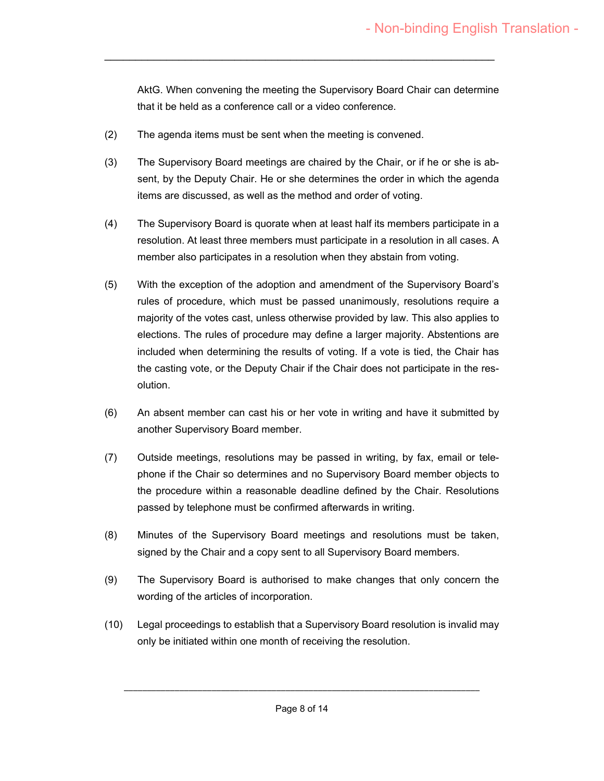AktG. When convening the meeting the Supervisory Board Chair can determine that it be held as a conference call or a video conference.

- (2) The agenda items must be sent when the meeting is convened.
- (3) The Supervisory Board meetings are chaired by the Chair, or if he or she is absent, by the Deputy Chair. He or she determines the order in which the agenda items are discussed, as well as the method and order of voting.

 $\mathcal{L}_\text{max}$  , and the contract of the contract of the contract of the contract of the contract of the contract of the contract of the contract of the contract of the contract of the contract of the contract of the contr

- (4) The Supervisory Board is quorate when at least half its members participate in a resolution. At least three members must participate in a resolution in all cases. A member also participates in a resolution when they abstain from voting.
- (5) With the exception of the adoption and amendment of the Supervisory Board's rules of procedure, which must be passed unanimously, resolutions require a majority of the votes cast, unless otherwise provided by law. This also applies to elections. The rules of procedure may define a larger majority. Abstentions are included when determining the results of voting. If a vote is tied, the Chair has the casting vote, or the Deputy Chair if the Chair does not participate in the resolution.
- (6) An absent member can cast his or her vote in writing and have it submitted by another Supervisory Board member.
- (7) Outside meetings, resolutions may be passed in writing, by fax, email or telephone if the Chair so determines and no Supervisory Board member objects to the procedure within a reasonable deadline defined by the Chair. Resolutions passed by telephone must be confirmed afterwards in writing.
- (8) Minutes of the Supervisory Board meetings and resolutions must be taken, signed by the Chair and a copy sent to all Supervisory Board members.
- (9) The Supervisory Board is authorised to make changes that only concern the wording of the articles of incorporation.
- (10) Legal proceedings to establish that a Supervisory Board resolution is invalid may only be initiated within one month of receiving the resolution.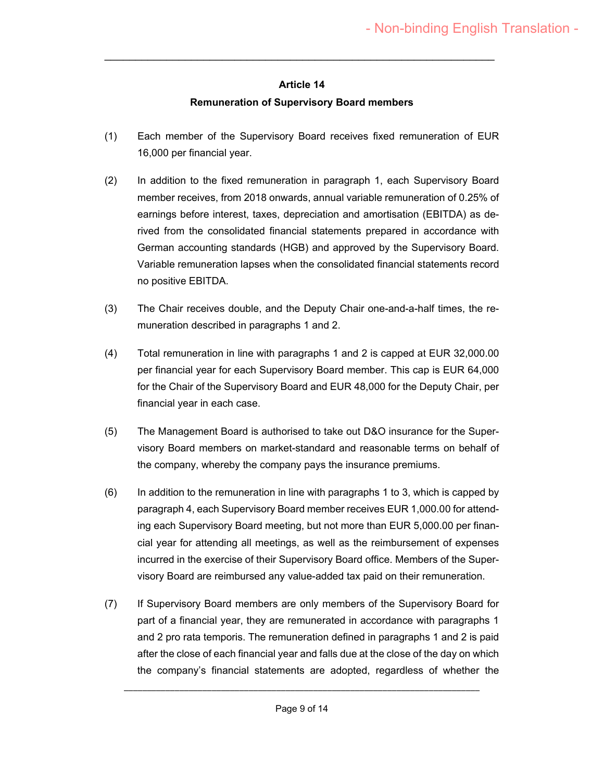## **Article 14 Remuneration of Supervisory Board members**

 $\mathcal{L}_\text{max}$  , and the contract of the contract of the contract of the contract of the contract of the contract of the contract of the contract of the contract of the contract of the contract of the contract of the contr

- (1) Each member of the Supervisory Board receives fixed remuneration of EUR 16,000 per financial year.
- (2) In addition to the fixed remuneration in paragraph 1, each Supervisory Board member receives, from 2018 onwards, annual variable remuneration of 0.25% of earnings before interest, taxes, depreciation and amortisation (EBITDA) as derived from the consolidated financial statements prepared in accordance with German accounting standards (HGB) and approved by the Supervisory Board. Variable remuneration lapses when the consolidated financial statements record no positive EBITDA.
- (3) The Chair receives double, and the Deputy Chair one-and-a-half times, the remuneration described in paragraphs 1 and 2.
- (4) Total remuneration in line with paragraphs 1 and 2 is capped at EUR 32,000.00 per financial year for each Supervisory Board member. This cap is EUR 64,000 for the Chair of the Supervisory Board and EUR 48,000 for the Deputy Chair, per financial year in each case.
- (5) The Management Board is authorised to take out D&O insurance for the Supervisory Board members on market-standard and reasonable terms on behalf of the company, whereby the company pays the insurance premiums.
- (6) In addition to the remuneration in line with paragraphs 1 to 3, which is capped by paragraph 4, each Supervisory Board member receives EUR 1,000.00 for attending each Supervisory Board meeting, but not more than EUR 5,000.00 per financial year for attending all meetings, as well as the reimbursement of expenses incurred in the exercise of their Supervisory Board office. Members of the Supervisory Board are reimbursed any value-added tax paid on their remuneration.
- (7) If Supervisory Board members are only members of the Supervisory Board for part of a financial year, they are remunerated in accordance with paragraphs 1 and 2 pro rata temporis. The remuneration defined in paragraphs 1 and 2 is paid after the close of each financial year and falls due at the close of the day on which the company's financial statements are adopted, regardless of whether the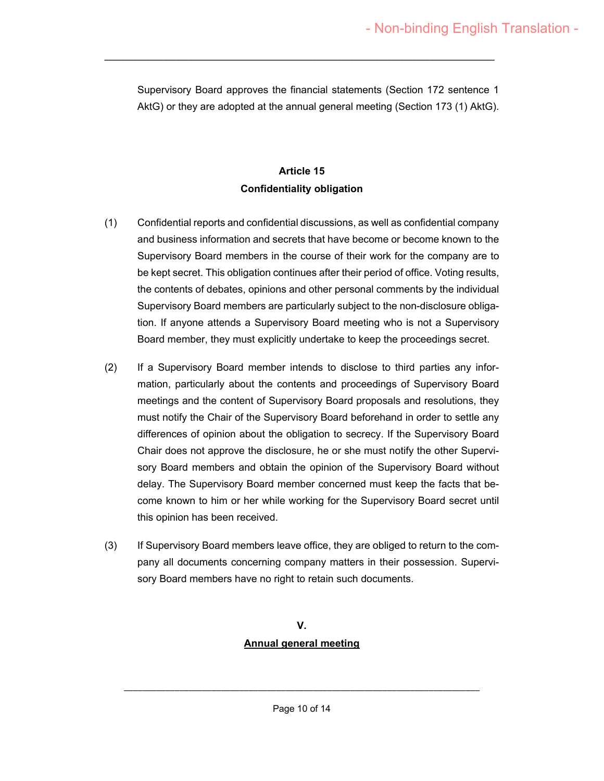Supervisory Board approves the financial statements (Section 172 sentence 1 AktG) or they are adopted at the annual general meeting (Section 173 (1) AktG).

 $\mathcal{L}_\text{max}$  , and the contract of the contract of the contract of the contract of the contract of the contract of the contract of the contract of the contract of the contract of the contract of the contract of the contr

### **Article 15 Confidentiality obligation**

- (1) Confidential reports and confidential discussions, as well as confidential company and business information and secrets that have become or become known to the Supervisory Board members in the course of their work for the company are to be kept secret. This obligation continues after their period of office. Voting results, the contents of debates, opinions and other personal comments by the individual Supervisory Board members are particularly subject to the non-disclosure obligation. If anyone attends a Supervisory Board meeting who is not a Supervisory Board member, they must explicitly undertake to keep the proceedings secret.
- (2) If a Supervisory Board member intends to disclose to third parties any information, particularly about the contents and proceedings of Supervisory Board meetings and the content of Supervisory Board proposals and resolutions, they must notify the Chair of the Supervisory Board beforehand in order to settle any differences of opinion about the obligation to secrecy. If the Supervisory Board Chair does not approve the disclosure, he or she must notify the other Supervisory Board members and obtain the opinion of the Supervisory Board without delay. The Supervisory Board member concerned must keep the facts that become known to him or her while working for the Supervisory Board secret until this opinion has been received.
- (3) If Supervisory Board members leave office, they are obliged to return to the company all documents concerning company matters in their possession. Supervisory Board members have no right to retain such documents.

# **V. Annual general meeting**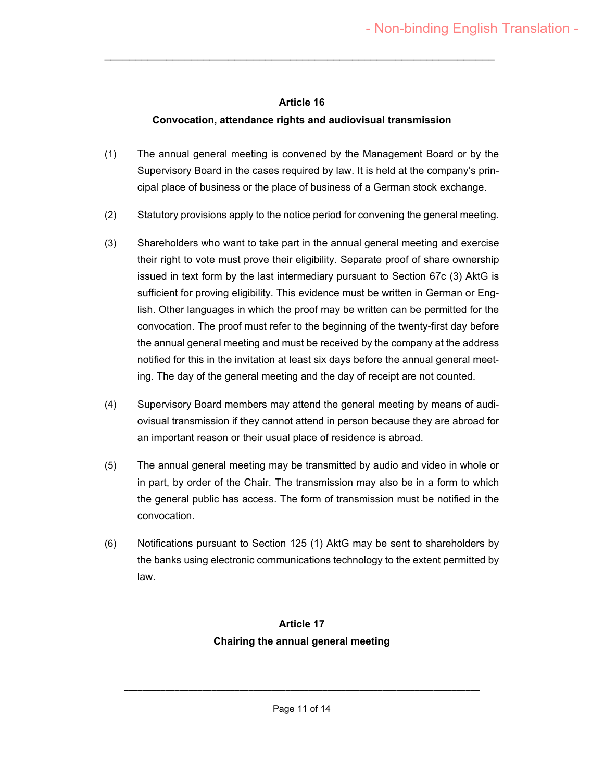#### **Article 16**

 $\mathcal{L}_\text{max}$  , and the contract of the contract of the contract of the contract of the contract of the contract of the contract of the contract of the contract of the contract of the contract of the contract of the contr

## **Convocation, attendance rights and audiovisual transmission**

- (1) The annual general meeting is convened by the Management Board or by the Supervisory Board in the cases required by law. It is held at the company's principal place of business or the place of business of a German stock exchange.
- (2) Statutory provisions apply to the notice period for convening the general meeting.
- (3) Shareholders who want to take part in the annual general meeting and exercise their right to vote must prove their eligibility. Separate proof of share ownership issued in text form by the last intermediary pursuant to Section 67c (3) AktG is sufficient for proving eligibility. This evidence must be written in German or English. Other languages in which the proof may be written can be permitted for the convocation. The proof must refer to the beginning of the twenty-first day before the annual general meeting and must be received by the company at the address notified for this in the invitation at least six days before the annual general meeting. The day of the general meeting and the day of receipt are not counted.
- (4) Supervisory Board members may attend the general meeting by means of audiovisual transmission if they cannot attend in person because they are abroad for an important reason or their usual place of residence is abroad.
- (5) The annual general meeting may be transmitted by audio and video in whole or in part, by order of the Chair. The transmission may also be in a form to which the general public has access. The form of transmission must be notified in the convocation.
- (6) Notifications pursuant to Section 125 (1) AktG may be sent to shareholders by the banks using electronic communications technology to the extent permitted by law.

# **Article 17 Chairing the annual general meeting**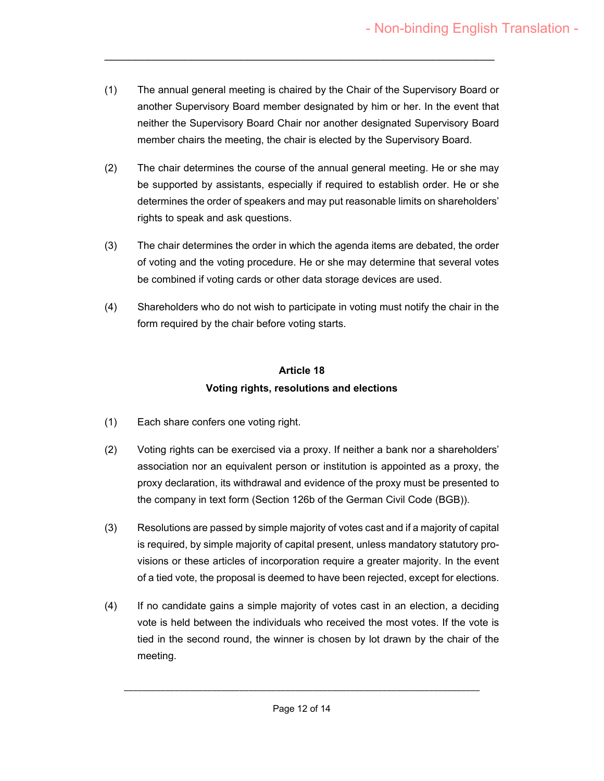(1) The annual general meeting is chaired by the Chair of the Supervisory Board or another Supervisory Board member designated by him or her. In the event that neither the Supervisory Board Chair nor another designated Supervisory Board member chairs the meeting, the chair is elected by the Supervisory Board.

 $\mathcal{L}_\text{max}$  , and the contract of the contract of the contract of the contract of the contract of the contract of the contract of the contract of the contract of the contract of the contract of the contract of the contr

- (2) The chair determines the course of the annual general meeting. He or she may be supported by assistants, especially if required to establish order. He or she determines the order of speakers and may put reasonable limits on shareholders' rights to speak and ask questions.
- (3) The chair determines the order in which the agenda items are debated, the order of voting and the voting procedure. He or she may determine that several votes be combined if voting cards or other data storage devices are used.
- (4) Shareholders who do not wish to participate in voting must notify the chair in the form required by the chair before voting starts.

# **Article 18 Voting rights, resolutions and elections**

- (1) Each share confers one voting right.
- (2) Voting rights can be exercised via a proxy. If neither a bank nor a shareholders' association nor an equivalent person or institution is appointed as a proxy, the proxy declaration, its withdrawal and evidence of the proxy must be presented to the company in text form (Section 126b of the German Civil Code (BGB)).
- (3) Resolutions are passed by simple majority of votes cast and if a majority of capital is required, by simple majority of capital present, unless mandatory statutory provisions or these articles of incorporation require a greater majority. In the event of a tied vote, the proposal is deemed to have been rejected, except for elections.
- (4) If no candidate gains a simple majority of votes cast in an election, a deciding vote is held between the individuals who received the most votes. If the vote is tied in the second round, the winner is chosen by lot drawn by the chair of the meeting.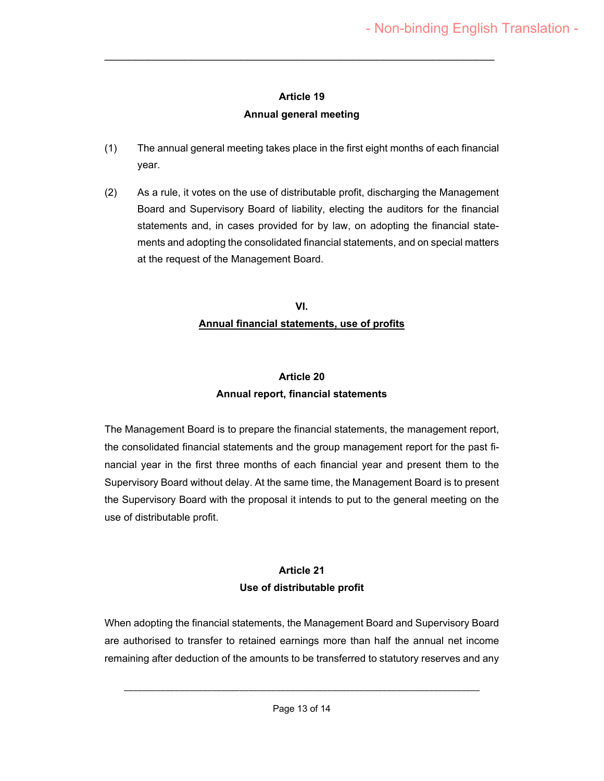# **Article 19 Annual general meeting**

 $\mathcal{L}_\text{max}$  , and the contract of the contract of the contract of the contract of the contract of the contract of the contract of the contract of the contract of the contract of the contract of the contract of the contr

- (1) The annual general meeting takes place in the first eight months of each financial year.
- (2) As a rule, it votes on the use of distributable profit, discharging the Management Board and Supervisory Board of liability, electing the auditors for the financial statements and, in cases provided for by law, on adopting the financial statements and adopting the consolidated financial statements, and on special matters at the request of the Management Board.

## **VI. Annual financial statements, use of profits**

# **Article 20 Annual report, financial statements**

The Management Board is to prepare the financial statements, the management report, the consolidated financial statements and the group management report for the past financial year in the first three months of each financial year and present them to the Supervisory Board without delay. At the same time, the Management Board is to present the Supervisory Board with the proposal it intends to put to the general meeting on the use of distributable profit.

# **Article 21 Use of distributable profit**

When adopting the financial statements, the Management Board and Supervisory Board are authorised to transfer to retained earnings more than half the annual net income remaining after deduction of the amounts to be transferred to statutory reserves and any